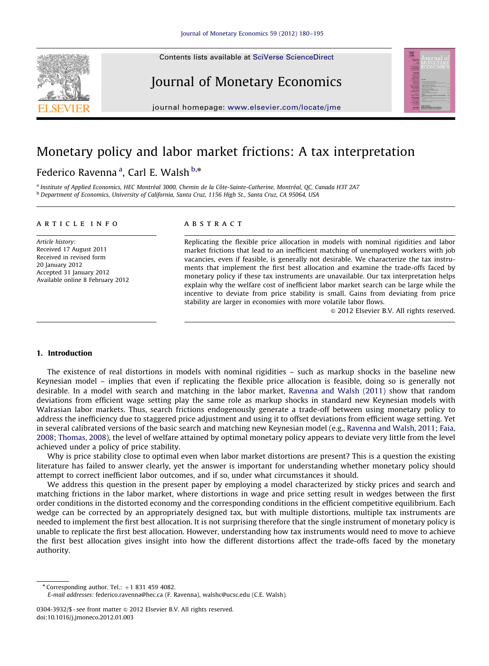Contents lists available at [SciVerse ScienceDirect](www.elsevier.com/locate/jme)



## Journal of Monetary Economics



journal homepage: <www.elsevier.com/locate/jme>

# Monetary policy and labor market frictions: A tax interpretation

### Federico Ravennaª, Carl E. Walsh <sup>b,</sup>\*

a Institute of Applied Economics, HEC Montréal 3000, Chemin de la Côte-Sainte-Catherine, Montréal, QC, Canada H3T 2A7 b Department of Economics, University of California, Santa Cruz, 1156 High St., Santa Cruz, CA 95064, USA

#### article info

Article history: Received 17 August 2011 Received in revised form 20 January 2012 Accepted 31 January 2012 Available online 8 February 2012

#### **ABSTRACT**

Replicating the flexible price allocation in models with nominal rigidities and labor market frictions that lead to an inefficient matching of unemployed workers with job vacancies, even if feasible, is generally not desirable. We characterize the tax instruments that implement the first best allocation and examine the trade-offs faced by monetary policy if these tax instruments are unavailable. Our tax interpretation helps explain why the welfare cost of inefficient labor market search can be large while the incentive to deviate from price stability is small. Gains from deviating from price stability are larger in economies with more volatile labor flows.

 $\odot$  2012 Elsevier B.V. All rights reserved.

#### 1. Introduction

The existence of real distortions in models with nominal rigidities – such as markup shocks in the baseline new Keynesian model – implies that even if replicating the flexible price allocation is feasible, doing so is generally not desirable. In a model with search and matching in the labor market, [Ravenna and Walsh \(2011\)](#page--1-0) show that random deviations from efficient wage setting play the same role as markup shocks in standard new Keynesian models with Walrasian labor markets. Thus, search frictions endogenously generate a trade-off between using monetary policy to address the inefficiency due to staggered price adjustment and using it to offset deviations from efficient wage setting. Yet in several calibrated versions of the basic search and matching new Keynesian model (e.g., [Ravenna and Walsh, 2011;](#page--1-0) [Faia,](#page--1-0) [2008;](#page--1-0) [Thomas, 2008](#page--1-0)), the level of welfare attained by optimal monetary policy appears to deviate very little from the level achieved under a policy of price stability.

Why is price stability close to optimal even when labor market distortions are present? This is a question the existing literature has failed to answer clearly, yet the answer is important for understanding whether monetary policy should attempt to correct inefficient labor outcomes, and if so, under what circumstances it should.

We address this question in the present paper by employing a model characterized by sticky prices and search and matching frictions in the labor market, where distortions in wage and price setting result in wedges between the first order conditions in the distorted economy and the corresponding conditions in the efficient competitive equilibrium. Each wedge can be corrected by an appropriately designed tax, but with multiple distortions, multiple tax instruments are needed to implement the first best allocation. It is not surprising therefore that the single instrument of monetary policy is unable to replicate the first best allocation. However, understanding how tax instruments would need to move to achieve the first best allocation gives insight into how the different distortions affect the trade-offs faced by the monetary authority.

 $*$  Corresponding author. Tel.:  $+1$  831 459 4082.

E-mail addresses: [federico.ravenna@hec.ca \(F. Ravenna\),](mailto:federico.ravenna@hec.ca) [walshc@ucsc.edu \(C.E. Walsh\).](mailto:walshc@ucsc.edu)

<sup>0304-3932/\$ -</sup> see front matter  $\circ$  2012 Elsevier B.V. All rights reserved. doi:[10.1016/j.jmoneco.2012.01.003](dx.doi.org/10.1016/j.jmoneco.2012.01.003)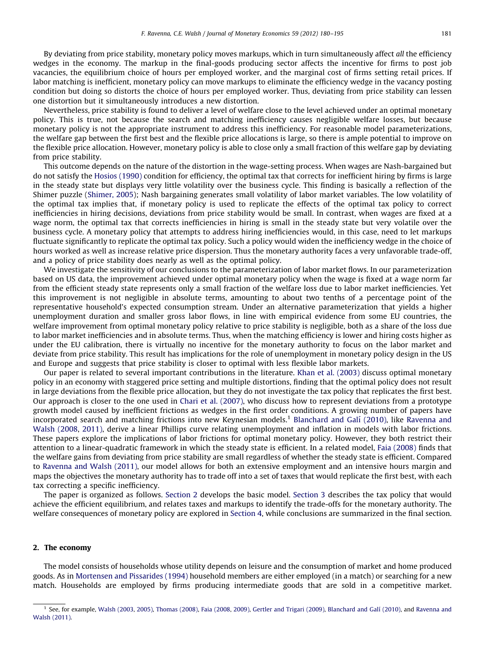By deviating from price stability, monetary policy moves markups, which in turn simultaneously affect all the efficiency wedges in the economy. The markup in the final-goods producing sector affects the incentive for firms to post job vacancies, the equilibrium choice of hours per employed worker, and the marginal cost of firms setting retail prices. If labor matching is inefficient, monetary policy can move markups to eliminate the efficiency wedge in the vacancy posting condition but doing so distorts the choice of hours per employed worker. Thus, deviating from price stability can lessen one distortion but it simultaneously introduces a new distortion.

Nevertheless, price stability is found to deliver a level of welfare close to the level achieved under an optimal monetary policy. This is true, not because the search and matching inefficiency causes negligible welfare losses, but because monetary policy is not the appropriate instrument to address this inefficiency. For reasonable model parameterizations, the welfare gap between the first best and the flexible price allocations is large, so there is ample potential to improve on the flexible price allocation. However, monetary policy is able to close only a small fraction of this welfare gap by deviating from price stability.

This outcome depends on the nature of the distortion in the wage-setting process. When wages are Nash-bargained but do not satisfy the [Hosios \(1990\)](#page--1-0) condition for efficiency, the optimal tax that corrects for inefficient hiring by firms is large in the steady state but displays very little volatility over the business cycle. This finding is basically a reflection of the Shimer puzzle ([Shimer, 2005\)](#page--1-0); Nash bargaining generates small volatility of labor market variables. The low volatility of the optimal tax implies that, if monetary policy is used to replicate the effects of the optimal tax policy to correct inefficiencies in hiring decisions, deviations from price stability would be small. In contrast, when wages are fixed at a wage norm, the optimal tax that corrects inefficiencies in hiring is small in the steady state but very volatile over the business cycle. A monetary policy that attempts to address hiring inefficiencies would, in this case, need to let markups fluctuate significantly to replicate the optimal tax policy. Such a policy would widen the inefficiency wedge in the choice of hours worked as well as increase relative price dispersion. Thus the monetary authority faces a very unfavorable trade-off, and a policy of price stability does nearly as well as the optimal policy.

We investigate the sensitivity of our conclusions to the parameterization of labor market flows. In our parameterization based on US data, the improvement achieved under optimal monetary policy when the wage is fixed at a wage norm far from the efficient steady state represents only a small fraction of the welfare loss due to labor market inefficiencies. Yet this improvement is not negligible in absolute terms, amounting to about two tenths of a percentage point of the representative household's expected consumption stream. Under an alternative parameterization that yields a higher unemployment duration and smaller gross labor flows, in line with empirical evidence from some EU countries, the welfare improvement from optimal monetary policy relative to price stability is negligible, both as a share of the loss due to labor market inefficiencies and in absolute terms. Thus, when the matching efficiency is lower and hiring costs higher as under the EU calibration, there is virtually no incentive for the monetary authority to focus on the labor market and deviate from price stability. This result has implications for the role of unemployment in monetary policy design in the US and Europe and suggests that price stability is closer to optimal with less flexible labor markets.

Our paper is related to several important contributions in the literature. [Khan et al. \(2003\)](#page--1-0) discuss optimal monetary policy in an economy with staggered price setting and multiple distortions, finding that the optimal policy does not result in large deviations from the flexible price allocation, but they do not investigate the tax policy that replicates the first best. Our approach is closer to the one used in [Chari et al. \(2007\),](#page--1-0) who discuss how to represent deviations from a prototype growth model caused by inefficient frictions as wedges in the first order conditions. A growing number of papers have incorporated search and matching frictions into new Keynesian models.<sup>1</sup> Blanchard and Galí (2010), like [Ravenna and](#page--1-0) [Walsh \(2008,](#page--1-0) [2011\)](#page--1-0), derive a linear Phillips curve relating unemployment and inflation in models with labor frictions. These papers explore the implications of labor frictions for optimal monetary policy. However, they both restrict their attention to a linear-quadratic framework in which the steady state is efficient. In a related model, [Faia \(2008\)](#page--1-0) finds that the welfare gains from deviating from price stability are small regardless of whether the steady state is efficient. Compared to [Ravenna and Walsh \(2011\),](#page--1-0) our model allows for both an extensive employment and an intensive hours margin and maps the objectives the monetary authority has to trade off into a set of taxes that would replicate the first best, with each tax correcting a specific inefficiency.

The paper is organized as follows. Section 2 develops the basic model. [Section 3](#page--1-0) describes the tax policy that would achieve the efficient equilibrium, and relates taxes and markups to identify the trade-offs for the monetary authority. The welfare consequences of monetary policy are explored in [Section 4,](#page--1-0) while conclusions are summarized in the final section.

#### 2. The economy

The model consists of households whose utility depends on leisure and the consumption of market and home produced goods. As in [Mortensen and Pissarides \(1994\)](#page--1-0) household members are either employed (in a match) or searching for a new match. Households are employed by firms producing intermediate goods that are sold in a competitive market.

<sup>&</sup>lt;sup>1</sup> See, for example, [Walsh \(2003,](#page--1-0) [2005\)](#page--1-0), [Thomas \(2008\)](#page--1-0), [Faia \(2008](#page--1-0), [2009\),](#page--1-0) [Gertler and Trigari \(2009\)](#page--1-0), Blanchard and Galí (2010), and [Ravenna and](#page--1-0) [Walsh \(2011\).](#page--1-0)